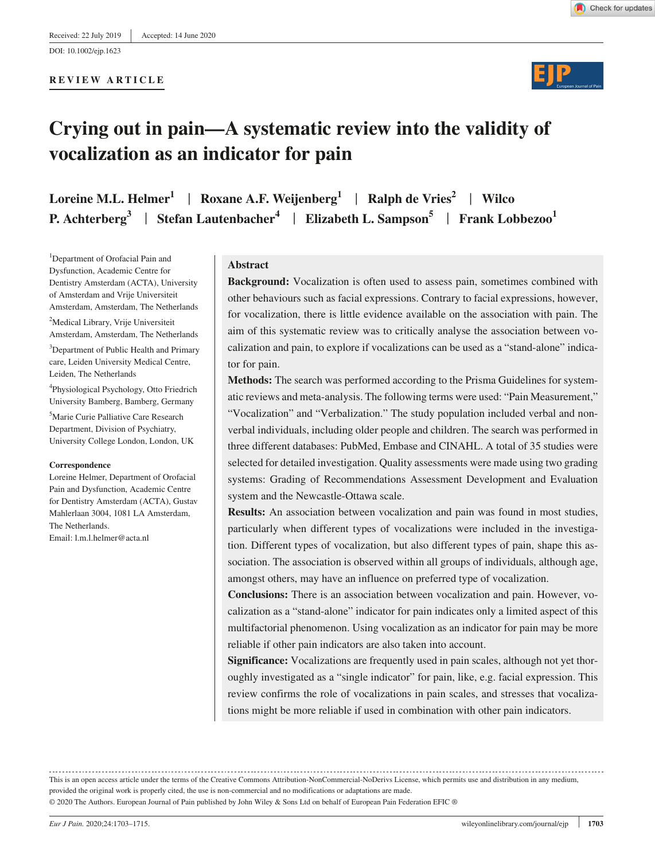**REVIEW ARTICLE**





# **Crying out in pain—A systematic review into the validity of vocalization as an indicator for pain**

**Loreine M.L. Helmer1** | **Roxane A.F. Weijenberg<sup>1</sup>** | **Ralph de Vries<sup>2</sup>** | **Wilco P. Achterberg**<sup>3</sup> | Stefan Lautenbacher<sup>4</sup> | Elizabeth L. Sampson<sup>5</sup> | Frank Lobbezoo<sup>1</sup>

<sup>1</sup>Department of Orofacial Pain and Dysfunction, Academic Centre for Dentistry Amsterdam (ACTA), University of Amsterdam and Vrije Universiteit Amsterdam, Amsterdam, The Netherlands 2 Medical Library, Vrije Universiteit

Amsterdam, Amsterdam, The Netherlands <sup>3</sup>Department of Public Health and Primary care, Leiden University Medical Centre, Leiden, The Netherlands

4 Physiological Psychology, Otto Friedrich University Bamberg, Bamberg, Germany

5 Marie Curie Palliative Care Research Department, Division of Psychiatry, University College London, London, UK

#### **Correspondence**

Loreine Helmer, Department of Orofacial Pain and Dysfunction, Academic Centre for Dentistry Amsterdam (ACTA), Gustav Mahlerlaan 3004, 1081 LA Amsterdam, The Netherlands. Email: [l.m.l.helmer@acta.nl](mailto:l.m.l.helmer@acta.nl)

#### **Abstract**

**Background:** Vocalization is often used to assess pain, sometimes combined with other behaviours such as facial expressions. Contrary to facial expressions, however, for vocalization, there is little evidence available on the association with pain. The aim of this systematic review was to critically analyse the association between vocalization and pain, to explore if vocalizations can be used as a "stand-alone" indicator for pain.

**Methods:** The search was performed according to the Prisma Guidelines for systematic reviews and meta-analysis. The following terms were used: "Pain Measurement," "Vocalization" and "Verbalization." The study population included verbal and nonverbal individuals, including older people and children. The search was performed in three different databases: PubMed, Embase and CINAHL. A total of 35 studies were selected for detailed investigation. Quality assessments were made using two grading systems: Grading of Recommendations Assessment Development and Evaluation system and the Newcastle-Ottawa scale.

**Results:** An association between vocalization and pain was found in most studies, particularly when different types of vocalizations were included in the investigation. Different types of vocalization, but also different types of pain, shape this association. The association is observed within all groups of individuals, although age, amongst others, may have an influence on preferred type of vocalization.

**Conclusions:** There is an association between vocalization and pain. However, vocalization as a "stand-alone" indicator for pain indicates only a limited aspect of this multifactorial phenomenon. Using vocalization as an indicator for pain may be more reliable if other pain indicators are also taken into account.

**Significance:** Vocalizations are frequently used in pain scales, although not yet thoroughly investigated as a "single indicator" for pain, like, e.g. facial expression. This review confirms the role of vocalizations in pain scales, and stresses that vocalizations might be more reliable if used in combination with other pain indicators.

This is an open access article under the terms of the [Creative Commons Attribution-NonCommercial-NoDerivs](http://creativecommons.org/licenses/by-nc-nd/4.0/) License, which permits use and distribution in any medium, provided the original work is properly cited, the use is non-commercial and no modifications or adaptations are made.

© 2020 The Authors. European Journal of Pain published by John Wiley & Sons Ltd on behalf of European Pain Federation EFIC ®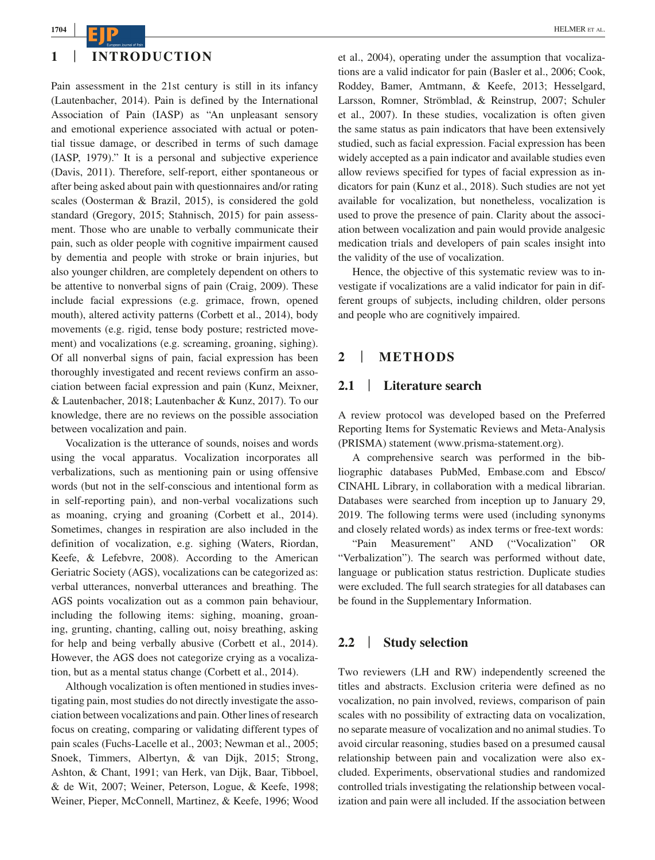# **1** | **INTRODUCTION**

Pain assessment in the 21st century is still in its infancy (Lautenbacher, 2014). Pain is defined by the International Association of Pain (IASP) as "An unpleasant sensory and emotional experience associated with actual or potential tissue damage, or described in terms of such damage (IASP, 1979)." It is a personal and subjective experience (Davis, 2011). Therefore, self-report, either spontaneous or after being asked about pain with questionnaires and/or rating scales (Oosterman & Brazil, 2015), is considered the gold standard (Gregory, 2015; Stahnisch, 2015) for pain assessment. Those who are unable to verbally communicate their pain, such as older people with cognitive impairment caused by dementia and people with stroke or brain injuries, but also younger children, are completely dependent on others to be attentive to nonverbal signs of pain (Craig, 2009). These include facial expressions (e.g. grimace, frown, opened mouth), altered activity patterns (Corbett et al., 2014), body movements (e.g. rigid, tense body posture; restricted movement) and vocalizations (e.g. screaming, groaning, sighing). Of all nonverbal signs of pain, facial expression has been thoroughly investigated and recent reviews confirm an association between facial expression and pain (Kunz, Meixner, & Lautenbacher, 2018; Lautenbacher & Kunz, 2017). To our knowledge, there are no reviews on the possible association between vocalization and pain.

Vocalization is the utterance of sounds, noises and words using the vocal apparatus. Vocalization incorporates all verbalizations, such as mentioning pain or using offensive words (but not in the self-conscious and intentional form as in self-reporting pain), and non-verbal vocalizations such as moaning, crying and groaning (Corbett et al., 2014). Sometimes, changes in respiration are also included in the definition of vocalization, e.g. sighing (Waters, Riordan, Keefe, & Lefebvre, 2008). According to the American Geriatric Society (AGS), vocalizations can be categorized as: verbal utterances, nonverbal utterances and breathing. The AGS points vocalization out as a common pain behaviour, including the following items: sighing, moaning, groaning, grunting, chanting, calling out, noisy breathing, asking for help and being verbally abusive (Corbett et al., 2014). However, the AGS does not categorize crying as a vocalization, but as a mental status change (Corbett et al., 2014).

Although vocalization is often mentioned in studies investigating pain, most studies do not directly investigate the association between vocalizations and pain. Other lines of research focus on creating, comparing or validating different types of pain scales (Fuchs-Lacelle et al., 2003; Newman et al., 2005; Snoek, Timmers, Albertyn, & van Dijk, 2015; Strong, Ashton, & Chant, 1991; van Herk, van Dijk, Baar, Tibboel, & de Wit, 2007; Weiner, Peterson, Logue, & Keefe, 1998; Weiner, Pieper, McConnell, Martinez, & Keefe, 1996; Wood et al., 2004), operating under the assumption that vocalizations are a valid indicator for pain (Basler et al., 2006; Cook, Roddey, Bamer, Amtmann, & Keefe, 2013; Hesselgard, Larsson, Romner, Strömblad, & Reinstrup, 2007; Schuler et al., 2007). In these studies, vocalization is often given the same status as pain indicators that have been extensively studied, such as facial expression. Facial expression has been widely accepted as a pain indicator and available studies even allow reviews specified for types of facial expression as indicators for pain (Kunz et al., 2018). Such studies are not yet available for vocalization, but nonetheless, vocalization is used to prove the presence of pain. Clarity about the association between vocalization and pain would provide analgesic medication trials and developers of pain scales insight into the validity of the use of vocalization.

Hence, the objective of this systematic review was to investigate if vocalizations are a valid indicator for pain in different groups of subjects, including children, older persons and people who are cognitively impaired.

#### **2** | **METHODS**

#### **2.1** | **Literature search**

A review protocol was developed based on the Preferred Reporting Items for Systematic Reviews and Meta-Analysis (PRISMA) statement [\(www.prisma-statement.org\)](http://www.prisma-statement.org).

A comprehensive search was performed in the bibliographic databases PubMed, [Embase.com](http://Embase.com) and Ebsco/ CINAHL Library, in collaboration with a medical librarian. Databases were searched from inception up to January 29, 2019. The following terms were used (including synonyms and closely related words) as index terms or free-text words:

"Pain Measurement" AND ("Vocalization" OR "Verbalization"). The search was performed without date, language or publication status restriction. Duplicate studies were excluded. The full search strategies for all databases can be found in the Supplementary Information.

#### **2.2** | **Study selection**

Two reviewers (LH and RW) independently screened the titles and abstracts. Exclusion criteria were defined as no vocalization, no pain involved, reviews, comparison of pain scales with no possibility of extracting data on vocalization, no separate measure of vocalization and no animal studies. To avoid circular reasoning, studies based on a presumed causal relationship between pain and vocalization were also excluded. Experiments, observational studies and randomized controlled trials investigating the relationship between vocalization and pain were all included. If the association between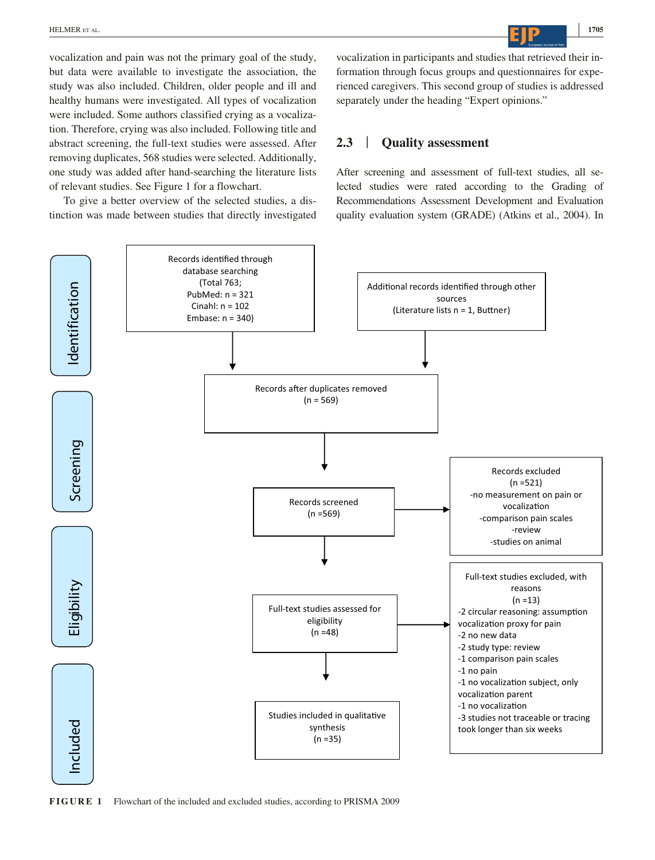vocalization and pain was not the primary goal of the study, but data were available to investigate the association, the study was also included. Children, older people and ill and healthy humans were investigated. All types of vocalization were included. Some authors classified crying as a vocalization. Therefore, crying was also included. Following title and abstract screening, the full-text studies were assessed. After removing duplicates, 568 studies were selected. Additionally, one study was added after hand-searching the literature lists of relevant studies. See Figure 1 for a flowchart.

To give a better overview of the selected studies, a distinction was made between studies that directly investigated vocalization in participants and studies that retrieved their information through focus groups and questionnaires for experienced caregivers. This second group of studies is addressed separately under the heading "Expert opinions."

# **2.3** | **Quality assessment**

After screening and assessment of full-text studies, all selected studies were rated according to the Grading of Recommendations Assessment Development and Evaluation quality evaluation system (GRADE) (Atkins et al., 2004). In



**FIGURE 1** Flowchart of the included and excluded studies, according to PRISMA 2009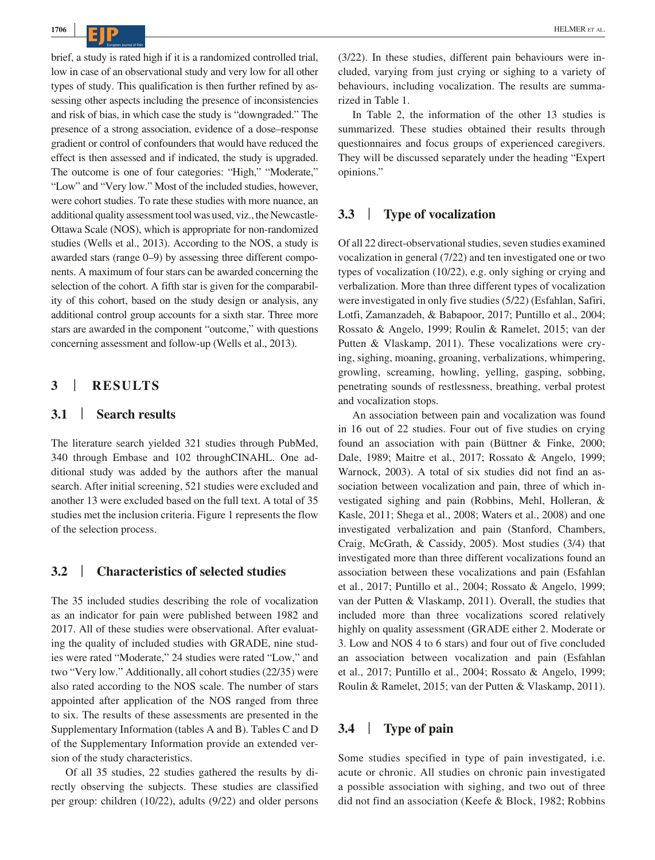brief, a study is rated high if it is a randomized controlled trial, low in case of an observational study and very low for all other types of study. This qualification is then further refined by assessing other aspects including the presence of inconsistencies and risk of bias, in which case the study is "downgraded." The presence of a strong association, evidence of a dose–response gradient or control of confounders that would have reduced the effect is then assessed and if indicated, the study is upgraded. The outcome is one of four categories: "High," "Moderate," "Low" and "Very low." Most of the included studies, however, were cohort studies. To rate these studies with more nuance, an additional quality assessment tool was used, viz., the Newcastle-Ottawa Scale (NOS), which is appropriate for non-randomized studies (Wells et al., 2013). According to the NOS, a study is awarded stars (range 0–9) by assessing three different components. A maximum of four stars can be awarded concerning the selection of the cohort. A fifth star is given for the comparability of this cohort, based on the study design or analysis, any additional control group accounts for a sixth star. Three more stars are awarded in the component "outcome," with questions concerning assessment and follow-up (Wells et al., 2013).

# **3** | **RESULTS**

# **3.1** | **Search results**

The literature search yielded 321 studies through PubMed, 340 through Embase and 102 throughCINAHL. One additional study was added by the authors after the manual search. After initial screening, 521 studies were excluded and another 13 were excluded based on the full text. A total of 35 studies met the inclusion criteria. Figure 1 represents the flow of the selection process.

#### **3.2** | **Characteristics of selected studies**

The 35 included studies describing the role of vocalization as an indicator for pain were published between 1982 and 2017. All of these studies were observational. After evaluating the quality of included studies with GRADE, nine studies were rated "Moderate," 24 studies were rated "Low," and two "Very low." Additionally, all cohort studies (22/35) were also rated according to the NOS scale. The number of stars appointed after application of the NOS ranged from three to six. The results of these assessments are presented in the Supplementary Information (tables A and B). Tables C and D of the Supplementary Information provide an extended version of the study characteristics.

Of all 35 studies, 22 studies gathered the results by directly observing the subjects. These studies are classified per group: children (10/22), adults (9/22) and older persons

(3/22). In these studies, different pain behaviours were included, varying from just crying or sighing to a variety of behaviours, including vocalization. The results are summarized in Table 1.

In Table 2, the information of the other 13 studies is summarized. These studies obtained their results through questionnaires and focus groups of experienced caregivers. They will be discussed separately under the heading "Expert opinions."

# **3.3** | **Type of vocalization**

Of all 22 direct-observational studies, seven studies examined vocalization in general (7/22) and ten investigated one or two types of vocalization (10/22), e.g. only sighing or crying and verbalization. More than three different types of vocalization were investigated in only five studies (5/22) (Esfahlan, Safiri, Lotfi, Zamanzadeh, & Babapoor, 2017; Puntillo et al., 2004; Rossato & Angelo, 1999; Roulin & Ramelet, 2015; van der Putten & Vlaskamp, 2011). These vocalizations were crying, sighing, moaning, groaning, verbalizations, whimpering, growling, screaming, howling, yelling, gasping, sobbing, penetrating sounds of restlessness, breathing, verbal protest and vocalization stops.

An association between pain and vocalization was found in 16 out of 22 studies. Four out of five studies on crying found an association with pain (Büttner & Finke, 2000; Dale, 1989; Maitre et al., 2017; Rossato & Angelo, 1999; Warnock, 2003). A total of six studies did not find an association between vocalization and pain, three of which investigated sighing and pain (Robbins, Mehl, Holleran, & Kasle, 2011; Shega et al., 2008; Waters et al., 2008) and one investigated verbalization and pain (Stanford, Chambers, Craig, McGrath, & Cassidy, 2005). Most studies (3/4) that investigated more than three different vocalizations found an association between these vocalizations and pain (Esfahlan et al., 2017; Puntillo et al., 2004; Rossato & Angelo, 1999; van der Putten & Vlaskamp, 2011). Overall, the studies that included more than three vocalizations scored relatively highly on quality assessment (GRADE either 2. Moderate or 3. Low and NOS 4 to 6 stars) and four out of five concluded an association between vocalization and pain (Esfahlan et al., 2017; Puntillo et al., 2004; Rossato & Angelo, 1999; Roulin & Ramelet, 2015; van der Putten & Vlaskamp, 2011).

# **3.4** | **Type of pain**

Some studies specified in type of pain investigated, i.e. acute or chronic. All studies on chronic pain investigated a possible association with sighing, and two out of three did not find an association (Keefe & Block, 1982; Robbins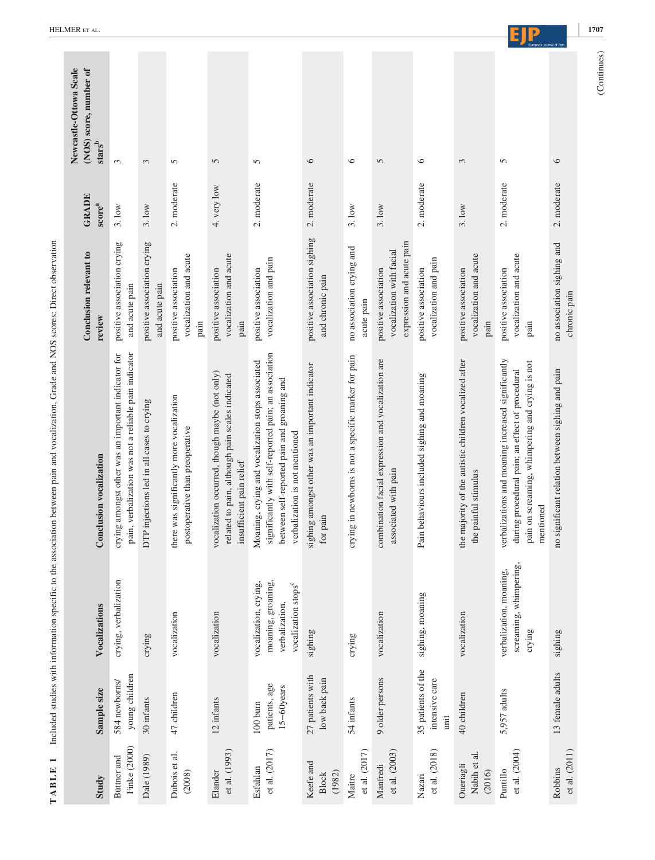| TABLE 1                             |                                              |                                                                                                  | Included studies with information specific to the association between pain and vocalization, Grade and NOS scores: Direct observation                                                       |                                                                               |                                                                         |                                                                     |
|-------------------------------------|----------------------------------------------|--------------------------------------------------------------------------------------------------|---------------------------------------------------------------------------------------------------------------------------------------------------------------------------------------------|-------------------------------------------------------------------------------|-------------------------------------------------------------------------|---------------------------------------------------------------------|
| Study                               | Sample size                                  | Vocalizations                                                                                    | Conclusion vocalization                                                                                                                                                                     | Conclusion relevant to<br>review                                              | <b>GRADE</b><br>$\ensuremath{\mathrm{score}}^{\ensuremath{\mathrm{a}}}$ | Newcastle-Ottowa Scale<br>(NOS) score, number of<br>${\bf stars^b}$ |
| Finke (2000)<br>Büttner and         | young children<br>584 newborns/              | crying, verbalization                                                                            | pain, verbalization was not a reliable pain indicator<br>crying amongst other was an important indicator for                                                                                | positive association crying<br>and acute pain                                 | 3.10w                                                                   | 3                                                                   |
| Dale (1989)                         | 30 infants                                   | crying                                                                                           | DTP injections led in all cases to crying                                                                                                                                                   | positive association crying<br>and acute pain                                 | 3.10w                                                                   | $\epsilon$                                                          |
| Dubois et al.<br>(2008)             | 47 children                                  | vocalization                                                                                     | there was significantly more vocalization<br>postoperative than preoperative                                                                                                                | vocalization and acute<br>positive association<br>pain                        | 2. moderate                                                             | 5                                                                   |
| et al. (1993)<br>Elander            | 12 infants                                   | vocalization                                                                                     | vocalization occurred, though maybe (not only)<br>related to pain, although pain scales indicated<br>insufficient pain relief                                                               | vocalization and acute<br>positive association<br>pain                        | 4. very low                                                             | 5                                                                   |
| et al. (2017)<br>Esfahlan           | patients, age<br>$15-60$ years<br>$100$ burn | moaning, groaning,<br>vocalization, crying,<br>vocalization stops <sup>c</sup><br>verbalization, | significantly with self-reported pain; an association<br>Moaning, crying and vocalization stops associated<br>between self-reported pain and groaning and<br>verbalization is not mentioned | vocalization and pain<br>positive association                                 | 2. moderate                                                             | $\sigma$                                                            |
| Keefe and<br>(1982)<br><b>Block</b> | 27 patients with<br>low back pain            | sighing                                                                                          | sighing amongst other was an important indicator<br>for pain                                                                                                                                | positive association sighing<br>and chronic pain                              | 2. moderate                                                             | $\circ$                                                             |
| et al. (2017)<br>Maitre             | 54 infants                                   | crying                                                                                           | crying in newborns is not a specific marker for pain                                                                                                                                        | no association crying and<br>acute pain                                       | 3.10w                                                                   | $\circ$                                                             |
| et al. (2003)<br>Manfredi           | 9 older persons                              | vocalization                                                                                     | combination facial expression and vocalization are<br>associated with pain                                                                                                                  | expression and acute pain<br>vocalization with facial<br>positive association | 3.10w                                                                   | 5                                                                   |
| et al. (2018)<br>Nazari             | 35 patients of the<br>intensive care<br>unit | sighing, moaning                                                                                 | Pain behaviours included sighing and moaning                                                                                                                                                | vocalization and pain<br>positive association                                 | 2. moderate                                                             | $\circ$                                                             |
| Nabih et al.<br>Oueriagli<br>(2016) | 40 children                                  | vocalization                                                                                     | the majority of the autistic children vocalized after<br>the painful stimulus                                                                                                               | vocalization and acute<br>positive association<br>pain                        | 3.10w                                                                   | $\mathfrak{c}$                                                      |
| et al. (2004)<br>Puntillo           | 5,957 adults                                 | screaming, whimpering,<br>verbalization, moaning,<br>crying                                      | verbalizations and moaning increased significantly<br>pain on screaming, whimpering and crying is not<br>during procedural pain; an effect of procedural<br>mentioned                       | vocalization and acute<br>positive association<br>pain                        | 2. moderate                                                             | 5                                                                   |
| et al. (2011)<br>Robbins            | 13 female adults                             | sighing                                                                                          | no significant relation between sighing and pain                                                                                                                                            | no association sighing and<br>chronic pain                                    | 2. moderate                                                             | $\circ$                                                             |
|                                     |                                              |                                                                                                  |                                                                                                                                                                                             |                                                                               |                                                                         | (Continues)                                                         |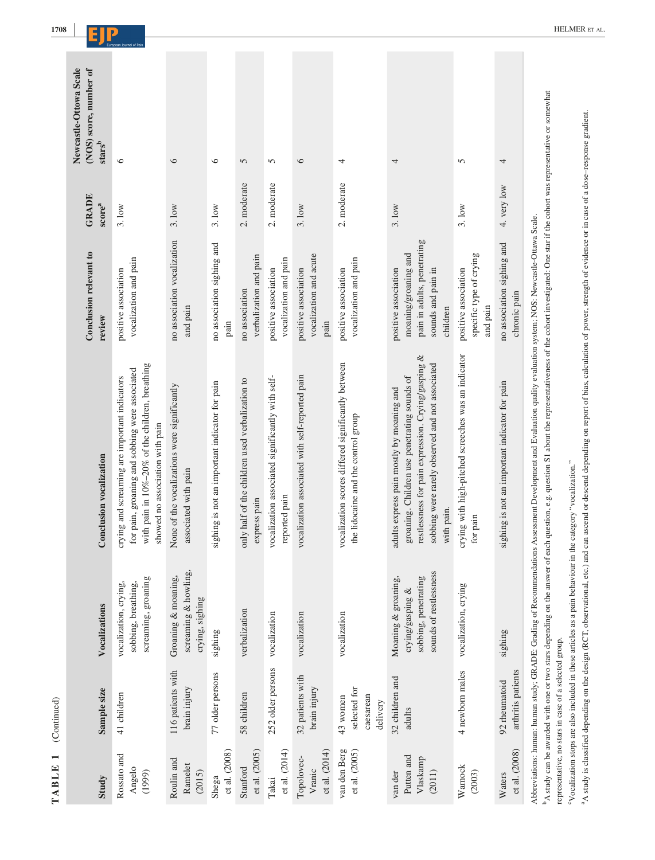| Study                                       | Sample size                                           | Vocalizations                                                                                | Conclusion vocalization                                                                                                                                                                                                                                                                                         | Conclusion relevant to<br>review                                                                              | <b>GRADE</b><br>score <sup>a</sup> | Newcastle-Ottowa Scale<br>(NOS) score, number of<br>${\bf stars}^{\bf b}$ |
|---------------------------------------------|-------------------------------------------------------|----------------------------------------------------------------------------------------------|-----------------------------------------------------------------------------------------------------------------------------------------------------------------------------------------------------------------------------------------------------------------------------------------------------------------|---------------------------------------------------------------------------------------------------------------|------------------------------------|---------------------------------------------------------------------------|
| Rossato and<br>Angelo<br>(1999)             | 41 children                                           | screaming, groaning<br>vocalization, crying,<br>sobbing, breathing,                          | with pain in 10%-20% of the children, breathing<br>for pain, groaning and sobbing were associated<br>crying and screaming are important indicators<br>showed no association with pain                                                                                                                           | vocalization and pain<br>positive association                                                                 | 3.10w                              | $\circ$                                                                   |
| Roulin and<br>Ramelet<br>(2015)             | 116 patients with<br>brain injury                     | screaming & howling,<br>Groaning & moaning,<br>crying, sighing                               | None of the vocalizations were significantly<br>associated with pain                                                                                                                                                                                                                                            | no association vocalization<br>and pain                                                                       | 3.10w                              | $\circ$                                                                   |
| et al. (2008)<br>Shega                      | 77 older persons                                      | sighing                                                                                      | sighing is not an important indicator for pain                                                                                                                                                                                                                                                                  | no association sighing and<br>pain                                                                            | 3.10w                              | $\circ$                                                                   |
| et al. (2005)<br>Stanford                   | 58 children                                           | verbalization                                                                                | only half of the children used verbalization to<br>express pain                                                                                                                                                                                                                                                 | verbalization and pain<br>no association                                                                      | 2. moderate                        | 5                                                                         |
| et al. (2014)<br>Takai                      | 252 older persons                                     | vocalization                                                                                 | vocalization associated significantly with self-<br>reported pain                                                                                                                                                                                                                                               | vocalization and pain<br>positive association                                                                 | 2. moderate                        | 5                                                                         |
| et al. $(2014)$<br>Topolovec-<br>Vranic     | 32 patients with<br>brain injury                      | vocalization                                                                                 | vocalization associated with self-reported pain                                                                                                                                                                                                                                                                 | vocalization and acute<br>positive association<br>pain                                                        | 3.10W                              | $\circ$                                                                   |
| van den Berg<br>et al. (2005)               | selected for<br>caesarean<br>43 women<br>delivery     | vocalization                                                                                 | vocalization scores differed significantly between<br>the lidocaine and the control group                                                                                                                                                                                                                       | vocalization and pain<br>positive association                                                                 | 2. moderate                        | 4                                                                         |
| Putten and<br>Vlaskamp<br>van der<br>(2011) | 32 children and<br>adults                             | sounds of restlessness<br>Moaning & groaning,<br>sobbing, penetrating<br>crying/gasping $\&$ | restlessness for pain expression. Crying/gasping &<br>sobbing were rarely observed and not associated<br>groaning. Children use penetrating sounds of<br>adults express pain mostly by moaning and<br>with pain.                                                                                                | pain in adults, penetrating<br>moaning/groaning and<br>positive association<br>sounds and pain in<br>children | 3.10w                              | 4                                                                         |
| Warnock<br>(2003)                           | 4 newborn males                                       | vocalization, crying                                                                         | crying with high-pitched screeches was an indicator<br>for pain                                                                                                                                                                                                                                                 | specific type of crying<br>positive association<br>and pain                                                   | 3.1 <sub>ow</sub>                  | 5                                                                         |
| et al. (2008)<br>Waters                     | arthritis patients<br>92 rheumatoid                   | sighing                                                                                      | sighing is not an important indicator for pain                                                                                                                                                                                                                                                                  | no association sighing and<br>chronic pain                                                                    | 4. very low                        | 4                                                                         |
|                                             | representative, no stars in case of a selected group. | <sup>b</sup> A study can be awarded with one or two stars depending on the answer of each    | question, e.g. question S1 about the representativeness of the cohort investigated: One star if the cohort was representative or somewhat<br>Abbreviations: human: human study; GRADE: Grading of Recommendations Assessment Development and Evaluation quality evaluation system; NOS: Newcastle-Ottawa Scale. |                                                                                                               |                                    |                                                                           |

<sup>6</sup>Vocalization stops are also included in these articles as a pain behaviour in the category "vocalization." cVocalization stops are also included in these articles as a pain behaviour in the category "vocalization."

<sup>a</sup>A study is classified depending on the design (RCT, observational, etc.) and can ascend of escend depending on report of bias, calculation of power, strength of evidence or in case of a dose-response gradient. A study is classified depending on the design (RCT, observational, etc.) and can ascend or descend depending on report of bias, calculation of power, strength of evidence or in case of a dose–response gradient.

**TABLE 1** (Continued)

TABLE 1 (Continued)

**|**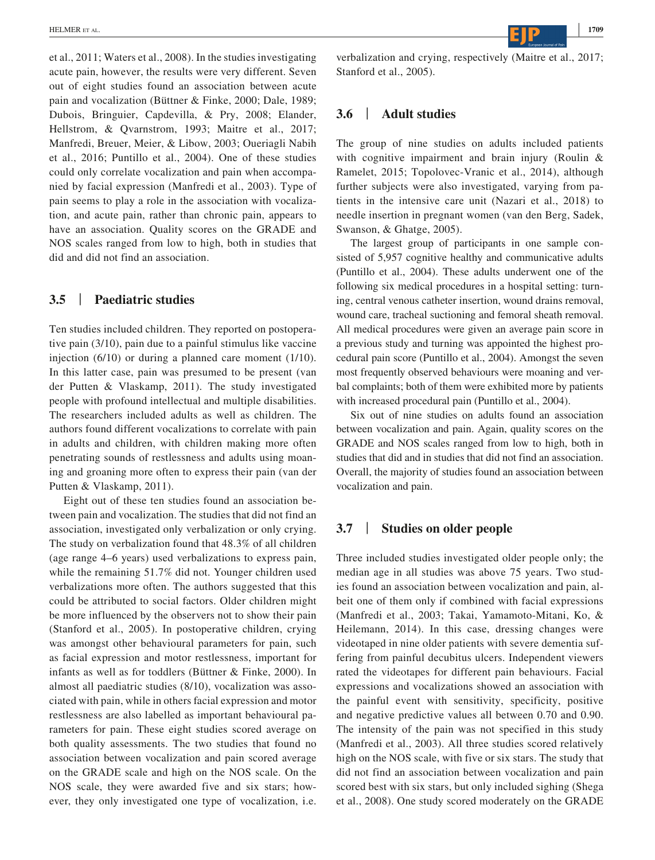et al., 2011; Waters et al., 2008). In the studies investigating acute pain, however, the results were very different. Seven out of eight studies found an association between acute pain and vocalization (Büttner & Finke, 2000; Dale, 1989; Dubois, Bringuier, Capdevilla, & Pry, 2008; Elander, Hellstrom, & Qvarnstrom, 1993; Maitre et al., 2017; Manfredi, Breuer, Meier, & Libow, 2003; Oueriagli Nabih et al., 2016; Puntillo et al., 2004). One of these studies could only correlate vocalization and pain when accompanied by facial expression (Manfredi et al., 2003). Type of pain seems to play a role in the association with vocalization, and acute pain, rather than chronic pain, appears to have an association. Quality scores on the GRADE and NOS scales ranged from low to high, both in studies that did and did not find an association.

## **3.5** | **Paediatric studies**

Ten studies included children. They reported on postoperative pain (3/10), pain due to a painful stimulus like vaccine injection (6/10) or during a planned care moment (1/10). In this latter case, pain was presumed to be present (van der Putten & Vlaskamp, 2011). The study investigated people with profound intellectual and multiple disabilities. The researchers included adults as well as children. The authors found different vocalizations to correlate with pain in adults and children, with children making more often penetrating sounds of restlessness and adults using moaning and groaning more often to express their pain (van der Putten & Vlaskamp, 2011).

Eight out of these ten studies found an association between pain and vocalization. The studies that did not find an association, investigated only verbalization or only crying. The study on verbalization found that 48.3% of all children (age range 4–6 years) used verbalizations to express pain, while the remaining 51.7% did not. Younger children used verbalizations more often. The authors suggested that this could be attributed to social factors. Older children might be more influenced by the observers not to show their pain (Stanford et al., 2005). In postoperative children, crying was amongst other behavioural parameters for pain, such as facial expression and motor restlessness, important for infants as well as for toddlers (Büttner & Finke, 2000). In almost all paediatric studies (8/10), vocalization was associated with pain, while in others facial expression and motor restlessness are also labelled as important behavioural parameters for pain. These eight studies scored average on both quality assessments. The two studies that found no association between vocalization and pain scored average on the GRADE scale and high on the NOS scale. On the NOS scale, they were awarded five and six stars; however, they only investigated one type of vocalization, i.e. verbalization and crying, respectively (Maitre et al., 2017; Stanford et al., 2005).

# **3.6** | **Adult studies**

The group of nine studies on adults included patients with cognitive impairment and brain injury (Roulin & Ramelet, 2015; Topolovec-Vranic et al., 2014), although further subjects were also investigated, varying from patients in the intensive care unit (Nazari et al., 2018) to needle insertion in pregnant women (van den Berg, Sadek, Swanson, & Ghatge, 2005).

The largest group of participants in one sample consisted of 5,957 cognitive healthy and communicative adults (Puntillo et al., 2004). These adults underwent one of the following six medical procedures in a hospital setting: turning, central venous catheter insertion, wound drains removal, wound care, tracheal suctioning and femoral sheath removal. All medical procedures were given an average pain score in a previous study and turning was appointed the highest procedural pain score (Puntillo et al., 2004). Amongst the seven most frequently observed behaviours were moaning and verbal complaints; both of them were exhibited more by patients with increased procedural pain (Puntillo et al., 2004).

Six out of nine studies on adults found an association between vocalization and pain. Again, quality scores on the GRADE and NOS scales ranged from low to high, both in studies that did and in studies that did not find an association. Overall, the majority of studies found an association between vocalization and pain.

#### **3.7** | **Studies on older people**

Three included studies investigated older people only; the median age in all studies was above 75 years. Two studies found an association between vocalization and pain, albeit one of them only if combined with facial expressions (Manfredi et al., 2003; Takai, Yamamoto-Mitani, Ko, & Heilemann, 2014). In this case, dressing changes were videotaped in nine older patients with severe dementia suffering from painful decubitus ulcers. Independent viewers rated the videotapes for different pain behaviours. Facial expressions and vocalizations showed an association with the painful event with sensitivity, specificity, positive and negative predictive values all between 0.70 and 0.90. The intensity of the pain was not specified in this study (Manfredi et al., 2003). All three studies scored relatively high on the NOS scale, with five or six stars. The study that did not find an association between vocalization and pain scored best with six stars, but only included sighing (Shega et al., 2008). One study scored moderately on the GRADE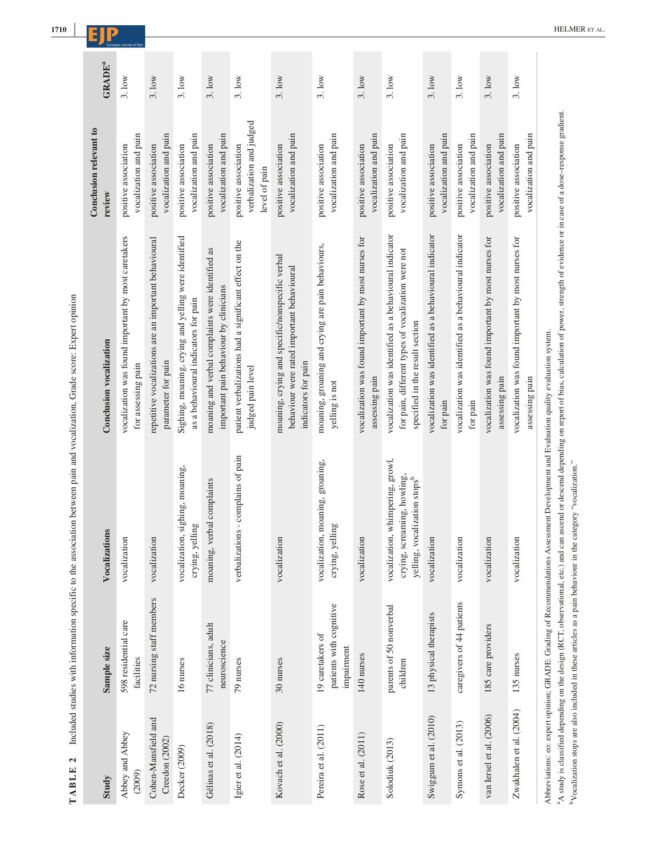| $\mathbf{c}$<br>TABLE                 |                                                           | Included studies with information specific to the association between pain and vocalization, Grade score: Expert opinion              |                                                                                                                                                 |                                                                   |                           |
|---------------------------------------|-----------------------------------------------------------|---------------------------------------------------------------------------------------------------------------------------------------|-------------------------------------------------------------------------------------------------------------------------------------------------|-------------------------------------------------------------------|---------------------------|
| Study                                 | Sample size                                               | Vocalizations                                                                                                                         | <b>Conclusion vocalization</b>                                                                                                                  | Conclusion relevant to<br>review                                  | <b>GRADE</b> <sup>a</sup> |
| Abbey and Abbey<br>(2009)             | 598 residential care<br>facilities                        | vocalization                                                                                                                          | vocalization was found important by most caretakers<br>for assessing pain                                                                       | vocalization and pain<br>positive association                     | 3.10w                     |
| Cohen-Mansfield and<br>Creedon (2002) | 72 nursing staff members                                  | vocalization                                                                                                                          | repetitive vocalizations are an important behavioural<br>parameter for pain                                                                     | vocalization and pain<br>positive association                     | 3.10w                     |
| Decker (2009)                         | 16 nurses                                                 | vocalization, sighing, moaning,<br>crying, yelling                                                                                    | Sighing, moaning, crying and yelling were identified<br>as a behavioural indicators for pain                                                    | vocalization and pain<br>positive association                     | 3.10w                     |
| Gélinas et al. (2018)                 | 77 clinicians, adult<br>neuroscience                      | moaning, verbal complaints                                                                                                            | moaning and verbal complaints were identified as<br>important pain behaviour by clinicians                                                      | vocalization and pain<br>positive association                     | 3.10w                     |
| Igier et al. (2014)                   | 79 nurses                                                 | verbalizations - complains of pain                                                                                                    | patient verbalizations had a significant effect on the<br>judged pain level                                                                     | verbalization and judged<br>positive association<br>level of pain | 3.10w                     |
| Kovach et al. (2000)                  | 30 nurses                                                 | vocalization                                                                                                                          | moaning, crying and specific/nonspecific verbal<br>behaviour were rated important behavioural<br>indicators for pain                            | vocalization and pain<br>positive association                     | 3.10w                     |
| Pereira et al. (2011)                 | patients with cognitive<br>19 caretakers of<br>impairment | vocalization, moaning, groaning,<br>crying, yelling                                                                                   | moaning, groaning and crying are pain behaviours,<br>yelling is not                                                                             | vocalization and pain<br>positive association                     | 3.1ow                     |
| Rose et al. (2011)                    | 140 nurses                                                | vocalization                                                                                                                          | vocalization was found important by most nurses for<br>assessing pain                                                                           | vocalization and pain<br>positive association                     | 3.1ow                     |
| Solodiuk (2013)                       | parents of 50 nonverbal<br>children                       | vocalization, whimpering, growl,<br>crying, screaming, howling,<br>yelling, vocalization stops <sup>b</sup>                           | vocalization was identified as a behavioural indicator<br>for pain, different types of vocalization were not<br>specified in the result section | vocalization and pain<br>positive association                     | 3.10w                     |
| Swiggum et al. (2010)                 | 13 physical therapists                                    | vocalization                                                                                                                          | vocalization was identified as a behavioural indicator<br>for pain                                                                              | vocalization and pain<br>positive association                     | 3.10W                     |
| Symons et al. (2013)                  | caregivers of 44 patients                                 | vocalization                                                                                                                          | vocalization was identified as a behavioural indicator<br>for pain                                                                              | vocalization and pain<br>positive association                     | 3.10w                     |
| van Iersel et al. (2006)              | 185 care providers                                        | vocalization                                                                                                                          | vocalization was found important by most nurses for<br>assessing pain                                                                           | vocalization and pain<br>positive association                     | 3.10w                     |
| Zwakhalen et al. (2004)               | 135 nurses                                                | vocalization                                                                                                                          | vocalization was found important by most nurses for<br>assessing pain                                                                           | vocalization and pain<br>positive association                     | 3.10w                     |
|                                       |                                                           | Abbreviations: eo: expert opinion; GRADE: Grading of Recommendations Assessment Development and Evaluation quality evaluation system. |                                                                                                                                                 |                                                                   |                           |

<sup>a</sup>A study is classified depending on the design (RCT, observational, etc.) and can ascend or descend depending on report of bias, calculation of power, strength of evidence or in case of a dose-response gradient.<br><sup>b</sup>Vocal A study is classified depending on the design (RCT, observational, etc.) and can ascend or descend depending on report of bias, calculation of power, strength of evidence or in case of a dose–response gradient. bVocalization stops are also included in these articles as a pain behaviour in the category "vocalization."

**|**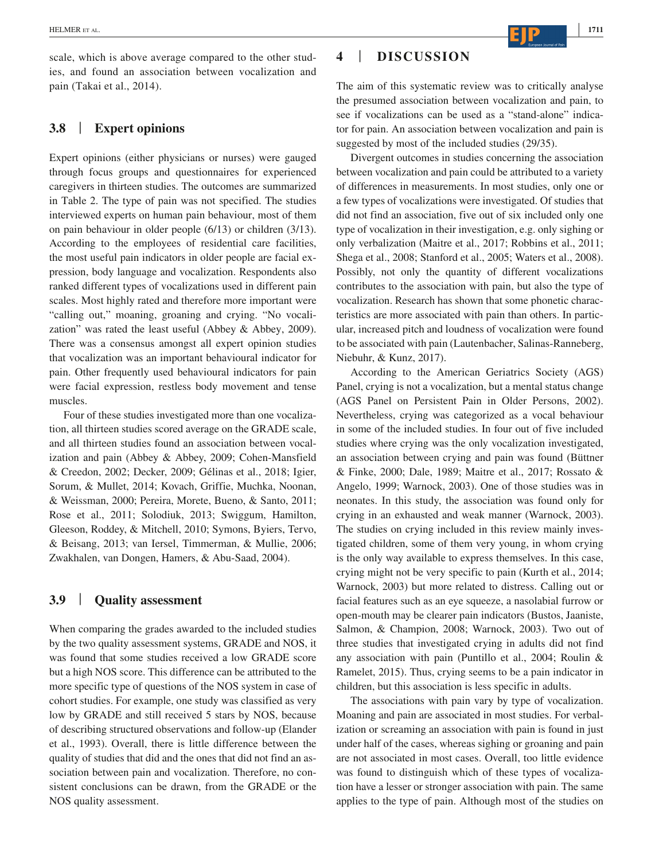scale, which is above average compared to the other studies, and found an association between vocalization and pain (Takai et al., 2014).

#### **3.8** | **Expert opinions**

Expert opinions (either physicians or nurses) were gauged through focus groups and questionnaires for experienced caregivers in thirteen studies. The outcomes are summarized in Table 2. The type of pain was not specified. The studies interviewed experts on human pain behaviour, most of them on pain behaviour in older people (6/13) or children (3/13). According to the employees of residential care facilities, the most useful pain indicators in older people are facial expression, body language and vocalization. Respondents also ranked different types of vocalizations used in different pain scales. Most highly rated and therefore more important were "calling out," moaning, groaning and crying. "No vocalization" was rated the least useful (Abbey & Abbey, 2009). There was a consensus amongst all expert opinion studies that vocalization was an important behavioural indicator for pain. Other frequently used behavioural indicators for pain were facial expression, restless body movement and tense muscles.

Four of these studies investigated more than one vocalization, all thirteen studies scored average on the GRADE scale, and all thirteen studies found an association between vocalization and pain (Abbey & Abbey, 2009; Cohen-Mansfield & Creedon, 2002; Decker, 2009; Gélinas et al., 2018; Igier, Sorum, & Mullet, 2014; Kovach, Griffie, Muchka, Noonan, & Weissman, 2000; Pereira, Morete, Bueno, & Santo, 2011; Rose et al., 2011; Solodiuk, 2013; Swiggum, Hamilton, Gleeson, Roddey, & Mitchell, 2010; Symons, Byiers, Tervo, & Beisang, 2013; van Iersel, Timmerman, & Mullie, 2006; Zwakhalen, van Dongen, Hamers, & Abu-Saad, 2004).

# **3.9** | **Quality assessment**

When comparing the grades awarded to the included studies by the two quality assessment systems, GRADE and NOS, it was found that some studies received a low GRADE score but a high NOS score. This difference can be attributed to the more specific type of questions of the NOS system in case of cohort studies. For example, one study was classified as very low by GRADE and still received 5 stars by NOS, because of describing structured observations and follow-up (Elander et al., 1993). Overall, there is little difference between the quality of studies that did and the ones that did not find an association between pain and vocalization. Therefore, no consistent conclusions can be drawn, from the GRADE or the NOS quality assessment.

## **4** | **DISCUSSION**

The aim of this systematic review was to critically analyse the presumed association between vocalization and pain, to see if vocalizations can be used as a "stand-alone" indicator for pain. An association between vocalization and pain is suggested by most of the included studies (29/35).

Divergent outcomes in studies concerning the association between vocalization and pain could be attributed to a variety of differences in measurements. In most studies, only one or a few types of vocalizations were investigated. Of studies that did not find an association, five out of six included only one type of vocalization in their investigation, e.g. only sighing or only verbalization (Maitre et al., 2017; Robbins et al., 2011; Shega et al., 2008; Stanford et al., 2005; Waters et al., 2008). Possibly, not only the quantity of different vocalizations contributes to the association with pain, but also the type of vocalization. Research has shown that some phonetic characteristics are more associated with pain than others. In particular, increased pitch and loudness of vocalization were found to be associated with pain (Lautenbacher, Salinas-Ranneberg, Niebuhr, & Kunz, 2017).

According to the American Geriatrics Society (AGS) Panel, crying is not a vocalization, but a mental status change (AGS Panel on Persistent Pain in Older Persons, 2002). Nevertheless, crying was categorized as a vocal behaviour in some of the included studies. In four out of five included studies where crying was the only vocalization investigated, an association between crying and pain was found (Büttner & Finke, 2000; Dale, 1989; Maitre et al., 2017; Rossato & Angelo, 1999; Warnock, 2003). One of those studies was in neonates. In this study, the association was found only for crying in an exhausted and weak manner (Warnock, 2003). The studies on crying included in this review mainly investigated children, some of them very young, in whom crying is the only way available to express themselves. In this case, crying might not be very specific to pain (Kurth et al., 2014; Warnock, 2003) but more related to distress. Calling out or facial features such as an eye squeeze, a nasolabial furrow or open-mouth may be clearer pain indicators (Bustos, Jaaniste, Salmon, & Champion, 2008; Warnock, 2003). Two out of three studies that investigated crying in adults did not find any association with pain (Puntillo et al., 2004; Roulin & Ramelet, 2015). Thus, crying seems to be a pain indicator in children, but this association is less specific in adults.

The associations with pain vary by type of vocalization. Moaning and pain are associated in most studies. For verbalization or screaming an association with pain is found in just under half of the cases, whereas sighing or groaning and pain are not associated in most cases. Overall, too little evidence was found to distinguish which of these types of vocalization have a lesser or stronger association with pain. The same applies to the type of pain. Although most of the studies on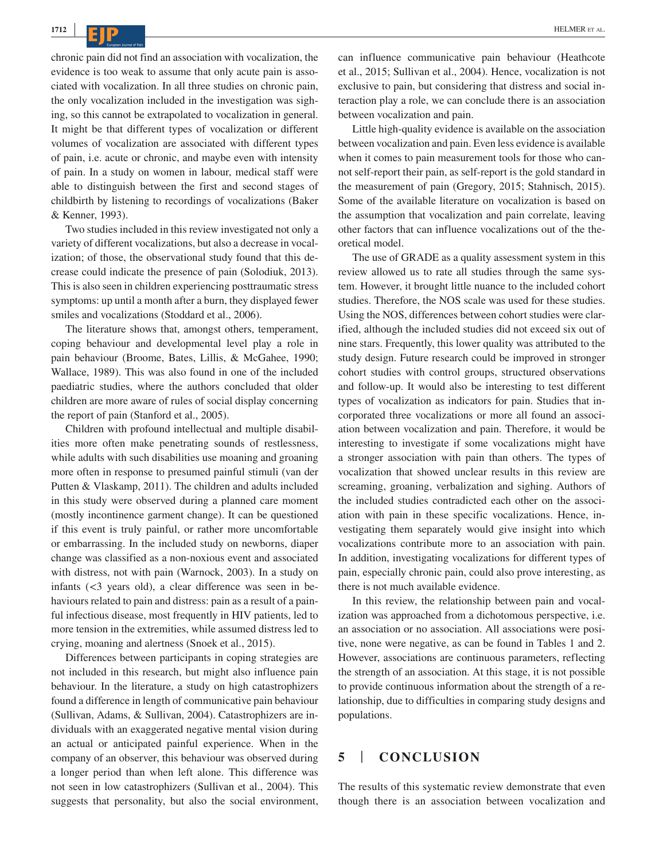**CID** HELMER ET AL.

chronic pain did not find an association with vocalization, the evidence is too weak to assume that only acute pain is associated with vocalization. In all three studies on chronic pain, the only vocalization included in the investigation was sighing, so this cannot be extrapolated to vocalization in general. It might be that different types of vocalization or different volumes of vocalization are associated with different types of pain, i.e. acute or chronic, and maybe even with intensity of pain. In a study on women in labour, medical staff were able to distinguish between the first and second stages of childbirth by listening to recordings of vocalizations (Baker & Kenner, 1993).

Two studies included in this review investigated not only a variety of different vocalizations, but also a decrease in vocalization; of those, the observational study found that this decrease could indicate the presence of pain (Solodiuk, 2013). This is also seen in children experiencing posttraumatic stress symptoms: up until a month after a burn, they displayed fewer smiles and vocalizations (Stoddard et al., 2006).

The literature shows that, amongst others, temperament, coping behaviour and developmental level play a role in pain behaviour (Broome, Bates, Lillis, & McGahee, 1990; Wallace, 1989). This was also found in one of the included paediatric studies, where the authors concluded that older children are more aware of rules of social display concerning the report of pain (Stanford et al., 2005).

Children with profound intellectual and multiple disabilities more often make penetrating sounds of restlessness, while adults with such disabilities use moaning and groaning more often in response to presumed painful stimuli (van der Putten & Vlaskamp, 2011). The children and adults included in this study were observed during a planned care moment (mostly incontinence garment change). It can be questioned if this event is truly painful, or rather more uncomfortable or embarrassing. In the included study on newborns, diaper change was classified as a non-noxious event and associated with distress, not with pain (Warnock, 2003). In a study on infants (<3 years old), a clear difference was seen in behaviours related to pain and distress: pain as a result of a painful infectious disease, most frequently in HIV patients, led to more tension in the extremities, while assumed distress led to crying, moaning and alertness (Snoek et al., 2015).

Differences between participants in coping strategies are not included in this research, but might also influence pain behaviour. In the literature, a study on high catastrophizers found a difference in length of communicative pain behaviour (Sullivan, Adams, & Sullivan, 2004). Catastrophizers are individuals with an exaggerated negative mental vision during an actual or anticipated painful experience. When in the company of an observer, this behaviour was observed during a longer period than when left alone. This difference was not seen in low catastrophizers (Sullivan et al., 2004). This suggests that personality, but also the social environment, can influence communicative pain behaviour (Heathcote et al., 2015; Sullivan et al., 2004). Hence, vocalization is not exclusive to pain, but considering that distress and social interaction play a role, we can conclude there is an association between vocalization and pain.

Little high-quality evidence is available on the association between vocalization and pain. Even less evidence is available when it comes to pain measurement tools for those who cannot self-report their pain, as self-report is the gold standard in the measurement of pain (Gregory, 2015; Stahnisch, 2015). Some of the available literature on vocalization is based on the assumption that vocalization and pain correlate, leaving other factors that can influence vocalizations out of the theoretical model.

The use of GRADE as a quality assessment system in this review allowed us to rate all studies through the same system. However, it brought little nuance to the included cohort studies. Therefore, the NOS scale was used for these studies. Using the NOS, differences between cohort studies were clarified, although the included studies did not exceed six out of nine stars. Frequently, this lower quality was attributed to the study design. Future research could be improved in stronger cohort studies with control groups, structured observations and follow-up. It would also be interesting to test different types of vocalization as indicators for pain. Studies that incorporated three vocalizations or more all found an association between vocalization and pain. Therefore, it would be interesting to investigate if some vocalizations might have a stronger association with pain than others. The types of vocalization that showed unclear results in this review are screaming, groaning, verbalization and sighing. Authors of the included studies contradicted each other on the association with pain in these specific vocalizations. Hence, investigating them separately would give insight into which vocalizations contribute more to an association with pain. In addition, investigating vocalizations for different types of pain, especially chronic pain, could also prove interesting, as there is not much available evidence.

In this review, the relationship between pain and vocalization was approached from a dichotomous perspective, i.e. an association or no association. All associations were positive, none were negative, as can be found in Tables 1 and 2. However, associations are continuous parameters, reflecting the strength of an association. At this stage, it is not possible to provide continuous information about the strength of a relationship, due to difficulties in comparing study designs and populations.

## **5** | **CONCLUSION**

The results of this systematic review demonstrate that even though there is an association between vocalization and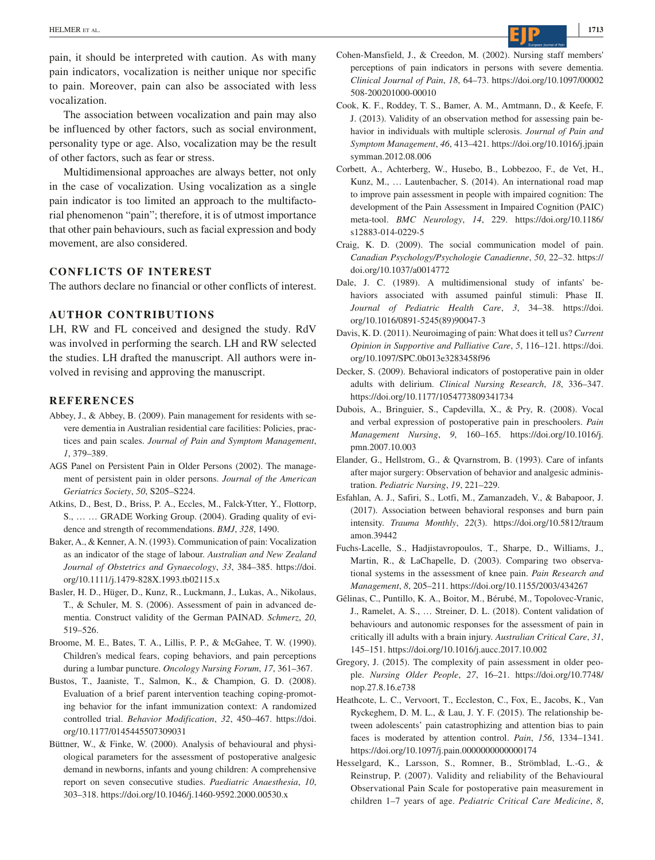pain, it should be interpreted with caution. As with many pain indicators, vocalization is neither unique nor specific to pain. Moreover, pain can also be associated with less vocalization.

The association between vocalization and pain may also be influenced by other factors, such as social environment, personality type or age. Also, vocalization may be the result of other factors, such as fear or stress.

Multidimensional approaches are always better, not only in the case of vocalization. Using vocalization as a single pain indicator is too limited an approach to the multifactorial phenomenon "pain"; therefore, it is of utmost importance that other pain behaviours, such as facial expression and body movement, are also considered.

#### **CONFLICTS OF INTEREST**

The authors declare no financial or other conflicts of interest.

#### **AUTHOR CONTRIBUTIONS**

LH, RW and FL conceived and designed the study. RdV was involved in performing the search. LH and RW selected the studies. LH drafted the manuscript. All authors were involved in revising and approving the manuscript.

#### **REFERENCES**

- Abbey, J., & Abbey, B. (2009). Pain management for residents with severe dementia in Australian residential care facilities: Policies, practices and pain scales. *Journal of Pain and Symptom Management*, *1*, 379–389.
- AGS Panel on Persistent Pain in Older Persons (2002). The management of persistent pain in older persons. *Journal of the American Geriatrics Society*, *50*, S205–S224.
- Atkins, D., Best, D., Briss, P. A., Eccles, M., Falck-Ytter, Y., Flottorp, S., … … GRADE Working Group. (2004). Grading quality of evidence and strength of recommendations. *BMJ*, *328*, 1490.
- Baker, A., & Kenner, A. N. (1993). Communication of pain: Vocalization as an indicator of the stage of labour. *Australian and New Zealand Journal of Obstetrics and Gynaecology*, *33*, 384–385. [https://doi.](https://doi.org/10.1111/j.1479-828X.1993.tb02115.x) [org/10.1111/j.1479-828X.1993.tb02115.x](https://doi.org/10.1111/j.1479-828X.1993.tb02115.x)
- Basler, H. D., Hüger, D., Kunz, R., Luckmann, J., Lukas, A., Nikolaus, T., & Schuler, M. S. (2006). Assessment of pain in advanced dementia. Construct validity of the German PAINAD. *Schmerz*, *20*, 519–526.
- Broome, M. E., Bates, T. A., Lillis, P. P., & McGahee, T. W. (1990). Children's medical fears, coping behaviors, and pain perceptions during a lumbar puncture. *Oncology Nursing Forum*, *17*, 361–367.
- Bustos, T., Jaaniste, T., Salmon, K., & Champion, G. D. (2008). Evaluation of a brief parent intervention teaching coping-promoting behavior for the infant immunization context: A randomized controlled trial. *Behavior Modification*, *32*, 450–467. [https://doi.](https://doi.org/10.1177/0145445507309031) [org/10.1177/0145445507309031](https://doi.org/10.1177/0145445507309031)
- Büttner, W., & Finke, W. (2000). Analysis of behavioural and physiological parameters for the assessment of postoperative analgesic demand in newborns, infants and young children: A comprehensive report on seven consecutive studies. *Paediatric Anaesthesia*, *10*, 303–318. <https://doi.org/10.1046/j.1460-9592.2000.00530.x>
- Cohen-Mansfield, J., & Creedon, M. (2002). Nursing staff members' perceptions of pain indicators in persons with severe dementia. *Clinical Journal of Pain*, *18*, 64–73. [https://doi.org/10.1097/00002](https://doi.org/10.1097/00002508-200201000-00010) [508-200201000-00010](https://doi.org/10.1097/00002508-200201000-00010)
- Cook, K. F., Roddey, T. S., Bamer, A. M., Amtmann, D., & Keefe, F. J. (2013). Validity of an observation method for assessing pain behavior in individuals with multiple sclerosis. *Journal of Pain and Symptom Management*, *46*, 413–421. [https://doi.org/10.1016/j.jpain](https://doi.org/10.1016/j.jpainsymman.2012.08.006) [symman.2012.08.006](https://doi.org/10.1016/j.jpainsymman.2012.08.006)
- Corbett, A., Achterberg, W., Husebo, B., Lobbezoo, F., de Vet, H., Kunz, M., … Lautenbacher, S. (2014). An international road map to improve pain assessment in people with impaired cognition: The development of the Pain Assessment in Impaired Cognition (PAIC) meta-tool. *BMC Neurology*, *14*, 229. [https://doi.org/10.1186/](https://doi.org/10.1186/s12883-014-0229-5) [s12883-014-0229-5](https://doi.org/10.1186/s12883-014-0229-5)
- Craig, K. D. (2009). The social communication model of pain. *Canadian Psychology/Psychologie Canadienne*, *50*, 22–32. [https://](https://doi.org/10.1037/a0014772) [doi.org/10.1037/a0014772](https://doi.org/10.1037/a0014772)
- Dale, J. C. (1989). A multidimensional study of infants' behaviors associated with assumed painful stimuli: Phase II. *Journal of Pediatric Health Care*, *3*, 34–38. [https://doi.](https://doi.org/10.1016/0891-5245(89)90047-3) [org/10.1016/0891-5245\(89\)90047-3](https://doi.org/10.1016/0891-5245(89)90047-3)
- Davis, K. D. (2011). Neuroimaging of pain: What does it tell us? *Current Opinion in Supportive and Palliative Care*, *5*, 116–121. [https://doi.](https://doi.org/10.1097/SPC.0b013e3283458f96) [org/10.1097/SPC.0b013e3283458f96](https://doi.org/10.1097/SPC.0b013e3283458f96)
- Decker, S. (2009). Behavioral indicators of postoperative pain in older adults with delirium. *Clinical Nursing Research*, *18*, 336–347. <https://doi.org/10.1177/1054773809341734>
- Dubois, A., Bringuier, S., Capdevilla, X., & Pry, R. (2008). Vocal and verbal expression of postoperative pain in preschoolers. *Pain Management Nursing*, *9*, 160–165. [https://doi.org/10.1016/j.](https://doi.org/10.1016/j.pmn.2007.10.003) [pmn.2007.10.003](https://doi.org/10.1016/j.pmn.2007.10.003)
- Elander, G., Hellstrom, G., & Qvarnstrom, B. (1993). Care of infants after major surgery: Observation of behavior and analgesic administration. *Pediatric Nursing*, *19*, 221–229.
- Esfahlan, A. J., Safiri, S., Lotfi, M., Zamanzadeh, V., & Babapoor, J. (2017). Association between behavioral responses and burn pain intensity. *Trauma Monthly*, *22*(3). [https://doi.org/10.5812/traum](https://doi.org/10.5812/traumamon.39442) [amon.39442](https://doi.org/10.5812/traumamon.39442)
- Fuchs-Lacelle, S., Hadjistavropoulos, T., Sharpe, D., Williams, J., Martin, R., & LaChapelle, D. (2003). Comparing two observational systems in the assessment of knee pain. *Pain Research and Management*, *8*, 205–211. <https://doi.org/10.1155/2003/434267>
- Gélinas, C., Puntillo, K. A., Boitor, M., Bérubé, M., Topolovec-Vranic, J., Ramelet, A. S., … Streiner, D. L. (2018). Content validation of behaviours and autonomic responses for the assessment of pain in critically ill adults with a brain injury. *Australian Critical Care*, *31*, 145–151. <https://doi.org/10.1016/j.aucc.2017.10.002>
- Gregory, J. (2015). The complexity of pain assessment in older people. *Nursing Older People*, *27*, 16–21. [https://doi.org/10.7748/](https://doi.org/10.7748/nop.27.8.16.e738) [nop.27.8.16.e738](https://doi.org/10.7748/nop.27.8.16.e738)
- Heathcote, L. C., Vervoort, T., Eccleston, C., Fox, E., Jacobs, K., Van Ryckeghem, D. M. L., & Lau, J. Y. F. (2015). The relationship between adolescents' pain catastrophizing and attention bias to pain faces is moderated by attention control. *Pain*, *156*, 1334–1341. <https://doi.org/10.1097/j.pain.0000000000000174>
- Hesselgard, K., Larsson, S., Romner, B., Strömblad, L.-G., & Reinstrup, P. (2007). Validity and reliability of the Behavioural Observational Pain Scale for postoperative pain measurement in children 1–7 years of age. *Pediatric Critical Care Medicine*, *8*,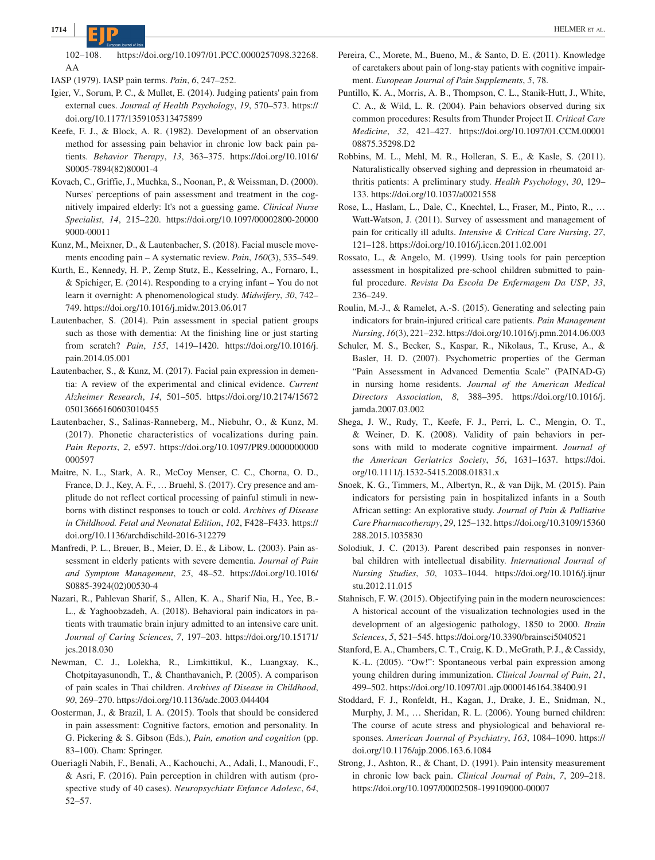102–108. [https://doi.org/10.1097/01.PCC.0000257098.32268.](https://doi.org/10.1097/01.PCC.0000257098.32268.AA) [AA](https://doi.org/10.1097/01.PCC.0000257098.32268.AA)

IASP (1979). IASP pain terms. *Pain*, *6*, 247–252.

- Igier, V., Sorum, P. C., & Mullet, E. (2014). Judging patients' pain from external cues. *Journal of Health Psychology*, *19*, 570–573. [https://](https://doi.org/10.1177/1359105313475899) [doi.org/10.1177/1359105313475899](https://doi.org/10.1177/1359105313475899)
- Keefe, F. J., & Block, A. R. (1982). Development of an observation method for assessing pain behavior in chronic low back pain patients. *Behavior Therapy*, *13*, 363–375. [https://doi.org/10.1016/](https://doi.org/10.1016/S0005-7894(82)80001-4) [S0005-7894\(82\)80001-4](https://doi.org/10.1016/S0005-7894(82)80001-4)
- Kovach, C., Griffie, J., Muchka, S., Noonan, P., & Weissman, D. (2000). Nurses' perceptions of pain assessment and treatment in the cognitively impaired elderly: It's not a guessing game. *Clinical Nurse Specialist*, *14*, 215–220. [https://doi.org/10.1097/00002800-20000](https://doi.org/10.1097/00002800-200009000-00011) [9000-00011](https://doi.org/10.1097/00002800-200009000-00011)
- Kunz, M., Meixner, D., & Lautenbacher, S. (2018). Facial muscle movements encoding pain – A systematic review. *Pain*, *160*(3), 535–549.
- Kurth, E., Kennedy, H. P., Zemp Stutz, E., Kesselring, A., Fornaro, I., & Spichiger, E. (2014). Responding to a crying infant – You do not learn it overnight: A phenomenological study. *Midwifery*, *30*, 742– 749.<https://doi.org/10.1016/j.midw.2013.06.017>
- Lautenbacher, S. (2014). Pain assessment in special patient groups such as those with dementia: At the finishing line or just starting from scratch? *Pain*, *155*, 1419–1420. [https://doi.org/10.1016/j.](https://doi.org/10.1016/j.pain.2014.05.001) [pain.2014.05.001](https://doi.org/10.1016/j.pain.2014.05.001)
- Lautenbacher, S., & Kunz, M. (2017). Facial pain expression in dementia: A review of the experimental and clinical evidence. *Current Alzheimer Research*, *14*, 501–505. [https://doi.org/10.2174/15672](https://doi.org/10.2174/1567205013666160603010455) [05013666160603010455](https://doi.org/10.2174/1567205013666160603010455)
- Lautenbacher, S., Salinas-Ranneberg, M., Niebuhr, O., & Kunz, M. (2017). Phonetic characteristics of vocalizations during pain. *Pain Reports*, *2*, e597. [https://doi.org/10.1097/PR9.0000000000](https://doi.org/10.1097/PR9.0000000000000597) [000597](https://doi.org/10.1097/PR9.0000000000000597)
- Maitre, N. L., Stark, A. R., McCoy Menser, C. C., Chorna, O. D., France, D. J., Key, A. F., … Bruehl, S. (2017). Cry presence and amplitude do not reflect cortical processing of painful stimuli in newborns with distinct responses to touch or cold. *Archives of Disease in Childhood. Fetal and Neonatal Edition*, *102*, F428–F433. [https://](https://doi.org/10.1136/archdischild-2016-312279) [doi.org/10.1136/archdischild-2016-312279](https://doi.org/10.1136/archdischild-2016-312279)
- Manfredi, P. L., Breuer, B., Meier, D. E., & Libow, L. (2003). Pain assessment in elderly patients with severe dementia. *Journal of Pain and Symptom Management*, *25*, 48–52. [https://doi.org/10.1016/](https://doi.org/10.1016/S0885-3924(02)00530-4) [S0885-3924\(02\)00530-4](https://doi.org/10.1016/S0885-3924(02)00530-4)
- Nazari, R., Pahlevan Sharif, S., Allen, K. A., Sharif Nia, H., Yee, B.- L., & Yaghoobzadeh, A. (2018). Behavioral pain indicators in patients with traumatic brain injury admitted to an intensive care unit. *Journal of Caring Sciences*, *7*, 197–203. [https://doi.org/10.15171/](https://doi.org/10.15171/jcs.2018.030) [jcs.2018.030](https://doi.org/10.15171/jcs.2018.030)
- Newman, C. J., Lolekha, R., Limkittikul, K., Luangxay, K., Chotpitayasunondh, T., & Chanthavanich, P. (2005). A comparison of pain scales in Thai children. *Archives of Disease in Childhood*, *90*, 269–270.<https://doi.org/10.1136/adc.2003.044404>
- Oosterman, J., & Brazil, I. A. (2015). Tools that should be considered in pain assessment: Cognitive factors, emotion and personality. In G. Pickering & S. Gibson (Eds.), *Pain, emotion and cognition* (pp. 83–100). Cham: Springer.
- Oueriagli Nabih, F., Benali, A., Kachouchi, A., Adali, I., Manoudi, F., & Asri, F. (2016). Pain perception in children with autism (prospective study of 40 cases). *Neuropsychiatr Enfance Adolesc*, *64*, 52–57.
- Pereira, C., Morete, M., Bueno, M., & Santo, D. E. (2011). Knowledge of caretakers about pain of long-stay patients with cognitive impairment. *European Journal of Pain Supplements*, *5*, 78.
- Puntillo, K. A., Morris, A. B., Thompson, C. L., Stanik-Hutt, J., White, C. A., & Wild, L. R. (2004). Pain behaviors observed during six common procedures: Results from Thunder Project II. *Critical Care Medicine*, *32*, 421–427. [https://doi.org/10.1097/01.CCM.00001](https://doi.org/10.1097/01.CCM.0000108875.35298.D2) [08875.35298.D2](https://doi.org/10.1097/01.CCM.0000108875.35298.D2)
- Robbins, M. L., Mehl, M. R., Holleran, S. E., & Kasle, S. (2011). Naturalistically observed sighing and depression in rheumatoid arthritis patients: A preliminary study. *Health Psychology*, *30*, 129– 133. <https://doi.org/10.1037/a0021558>
- Rose, L., Haslam, L., Dale, C., Knechtel, L., Fraser, M., Pinto, R., … Watt-Watson, J. (2011). Survey of assessment and management of pain for critically ill adults. *Intensive & Critical Care Nursing*, *27*, 121–128. <https://doi.org/10.1016/j.iccn.2011.02.001>
- Rossato, L., & Angelo, M. (1999). Using tools for pain perception assessment in hospitalized pre-school children submitted to painful procedure. *Revista Da Escola De Enfermagem Da USP*, *33*, 236–249.
- Roulin, M.-J., & Ramelet, A.-S. (2015). Generating and selecting pain indicators for brain-injured critical care patients. *Pain Management Nursing*, *16*(3), 221–232.<https://doi.org/10.1016/j.pmn.2014.06.003>
- Schuler, M. S., Becker, S., Kaspar, R., Nikolaus, T., Kruse, A., & Basler, H. D. (2007). Psychometric properties of the German "Pain Assessment in Advanced Dementia Scale" (PAINAD-G) in nursing home residents. *Journal of the American Medical Directors Association*, *8*, 388–395. [https://doi.org/10.1016/j.](https://doi.org/10.1016/j.jamda.2007.03.002) [jamda.2007.03.002](https://doi.org/10.1016/j.jamda.2007.03.002)
- Shega, J. W., Rudy, T., Keefe, F. J., Perri, L. C., Mengin, O. T., & Weiner, D. K. (2008). Validity of pain behaviors in persons with mild to moderate cognitive impairment. *Journal of the American Geriatrics Society*, *56*, 1631–1637. [https://doi.](https://doi.org/10.1111/j.1532-5415.2008.01831.x) [org/10.1111/j.1532-5415.2008.01831.x](https://doi.org/10.1111/j.1532-5415.2008.01831.x)
- Snoek, K. G., Timmers, M., Albertyn, R., & van Dijk, M. (2015). Pain indicators for persisting pain in hospitalized infants in a South African setting: An explorative study. *Journal of Pain & Palliative Care Pharmacotherapy*, *29*, 125–132. [https://doi.org/10.3109/15360](https://doi.org/10.3109/15360288.2015.1035830) [288.2015.1035830](https://doi.org/10.3109/15360288.2015.1035830)
- Solodiuk, J. C. (2013). Parent described pain responses in nonverbal children with intellectual disability. *International Journal of Nursing Studies*, *50*, 1033–1044. [https://doi.org/10.1016/j.ijnur](https://doi.org/10.1016/j.ijnurstu.2012.11.015) [stu.2012.11.015](https://doi.org/10.1016/j.ijnurstu.2012.11.015)
- Stahnisch, F. W. (2015). Objectifying pain in the modern neurosciences: A historical account of the visualization technologies used in the development of an algesiogenic pathology, 1850 to 2000. *Brain Sciences*, *5*, 521–545. <https://doi.org/10.3390/brainsci5040521>
- Stanford, E. A., Chambers, C. T., Craig, K. D., McGrath, P. J., & Cassidy, K.-L. (2005). "Ow!": Spontaneous verbal pain expression among young children during immunization. *Clinical Journal of Pain*, *21*, 499–502. <https://doi.org/10.1097/01.ajp.0000146164.38400.91>
- Stoddard, F. J., Ronfeldt, H., Kagan, J., Drake, J. E., Snidman, N., Murphy, J. M., … Sheridan, R. L. (2006). Young burned children: The course of acute stress and physiological and behavioral responses. *American Journal of Psychiatry*, *163*, 1084–1090. [https://](https://doi.org/10.1176/ajp.2006.163.6.1084) [doi.org/10.1176/ajp.2006.163.6.1084](https://doi.org/10.1176/ajp.2006.163.6.1084)
- Strong, J., Ashton, R., & Chant, D. (1991). Pain intensity measurement in chronic low back pain. *Clinical Journal of Pain*, *7*, 209–218. <https://doi.org/10.1097/00002508-199109000-00007>